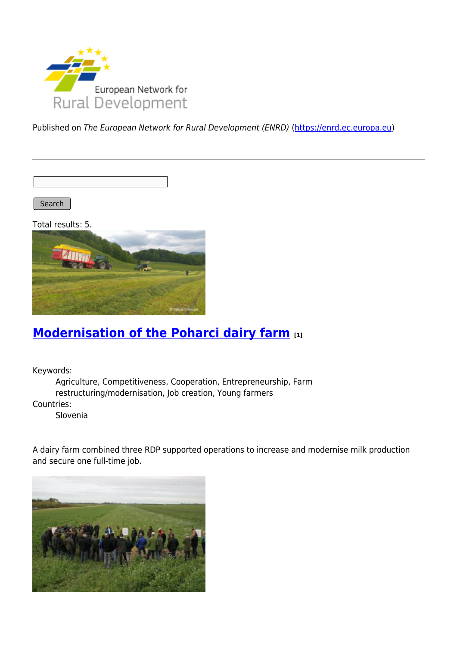

Published on The European Network for Rural Development (ENRD) [\(https://enrd.ec.europa.eu](https://enrd.ec.europa.eu))

Search

Total results: 5.



## **[Modernisation of the Poharci dairy farm](https://enrd.ec.europa.eu/projects-practice/modernisation-poharci-dairy-farm_en) [1]**

Keywords:

Agriculture, Competitiveness, Cooperation, Entrepreneurship, Farm restructuring/modernisation, Job creation, Young farmers Countries:

Slovenia

A dairy farm combined three RDP supported operations to increase and modernise milk production and secure one full-time job.

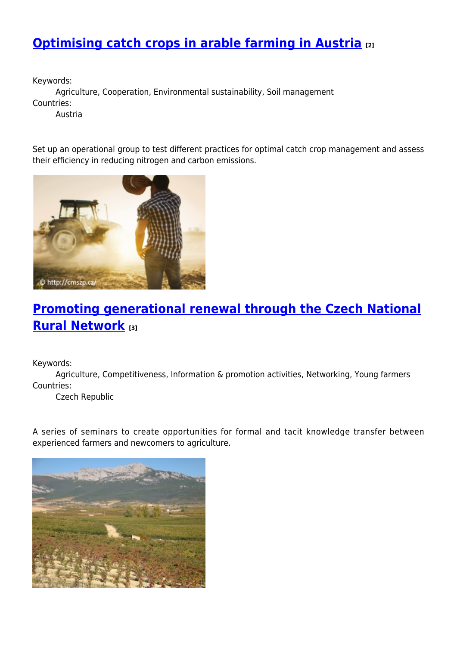# **[Optimising catch crops in arable farming in Austria](https://enrd.ec.europa.eu/projects-practice/optimising-catch-crops-arable-farming-austria_en) [2]**

Keywords:

Agriculture, Cooperation, Environmental sustainability, Soil management Countries:

Austria

Set up an operational group to test different practices for optimal catch crop management and assess their efficiency in reducing nitrogen and carbon emissions.



## **[Promoting generational renewal through the Czech National](https://enrd.ec.europa.eu/projects-practice/promoting-generational-renewal-through-czech-national-rural-network_en) [Rural Network](https://enrd.ec.europa.eu/projects-practice/promoting-generational-renewal-through-czech-national-rural-network_en) [3]**

Keywords:

Agriculture, Competitiveness, Information & promotion activities, Networking, Young farmers Countries:

Czech Republic

A series of seminars to create opportunities for formal and tacit knowledge transfer between experienced farmers and newcomers to agriculture.

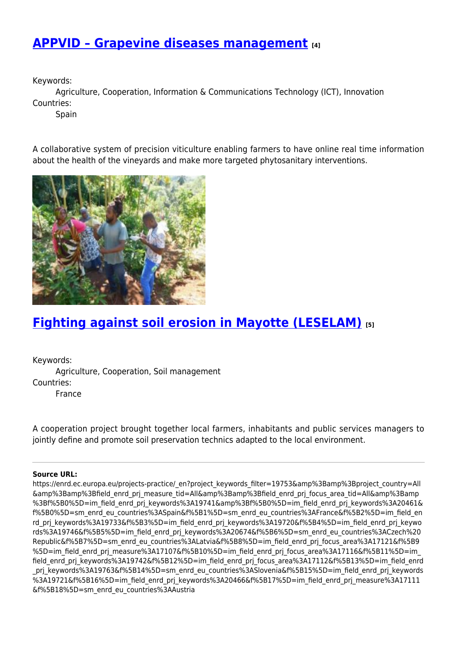### **[APPVID – Grapevine diseases management](https://enrd.ec.europa.eu/projects-practice/appvid-grapevine-diseases-management_en) [4]**

Keywords:

Agriculture, Cooperation, Information & Communications Technology (ICT), Innovation Countries:

**Spain** 

A collaborative system of precision viticulture enabling farmers to have online real time information about the health of the vineyards and make more targeted phytosanitary interventions.



## **[Fighting against soil erosion in Mayotte \(LESELAM\)](https://enrd.ec.europa.eu/projects-practice/fighting-against-soil-erosion-mayotte-leselam_en) [5]**

Keywords: Agriculture, Cooperation, Soil management Countries: France

A cooperation project brought together local farmers, inhabitants and public services managers to jointly define and promote soil preservation technics adapted to the local environment.

#### **Source URL:**

https://enrd.ec.europa.eu/projects-practice/\_en?project\_keywords\_filter=19753&amp%3Bamp%3Bproject\_country=All &amp%3Bamp%3Bfield\_enrd\_prj\_measure\_tid=All&amp%3Bamp%3Bfield\_enrd\_prj\_focus\_area\_tid=All&amp%3Bamp %3Bf%5B0%5D=im\_field\_enrd\_prj\_keywords%3A19741&amp%3Bf%5B0%5D=im\_field\_enrd\_prj\_keywords%3A20461& f%5B0%5D=sm\_enrd\_eu\_countries%3ASpain&f%5B1%5D=sm\_enrd\_eu\_countries%3AFrance&f%5B2%5D=im\_field\_en rd prj keywords%3A19733&f%5B3%5D=im field enrd prj keywords%3A19720&f%5B4%5D=im field enrd prj keywo rds%3A19746&f%5B5%5D=im\_field\_enrd\_prj\_keywords%3A20674&f%5B6%5D=sm\_enrd\_eu\_countries%3ACzech%20 Republic&f%5B7%5D=sm\_enrd\_eu\_countries%3ALatvia&f%5B8%5D=im\_field\_enrd\_prj\_focus\_area%3A17121&f%5B9 %5D=im\_field\_enrd\_prj\_measure%3A17107&f%5B10%5D=im\_field\_enrd\_prj\_focus\_area%3A17116&f%5B11%5D=im field\_enrd\_prj\_keywords%3A19742&f%5B12%5D=im\_field\_enrd\_prj\_focus\_area%3A17112&f%5B13%5D=im\_field\_enrd prj\_keywords%3A19763&f%5B14%5D=sm\_enrd\_eu\_countries%3ASlovenia&f%5B15%5D=im\_field\_enrd\_prj\_keywords %3A19721&f%5B16%5D=im\_field\_enrd\_prj\_keywords%3A20466&f%5B17%5D=im\_field\_enrd\_prj\_measure%3A17111 &f%5B18%5D=sm\_enrd\_eu\_countries%3AAustria